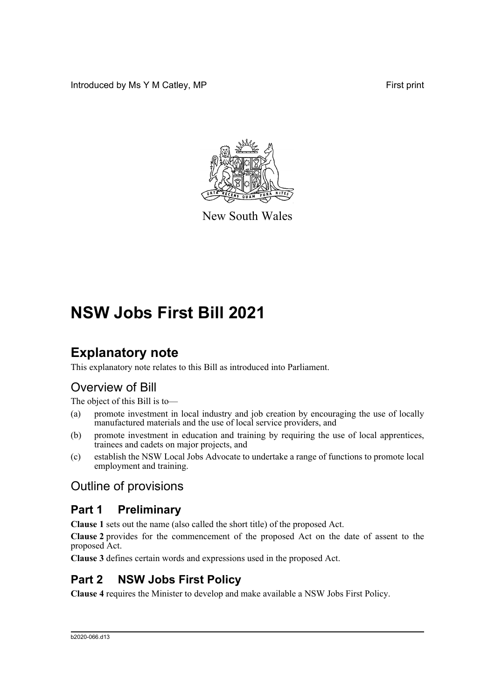Introduced by Ms Y M Catley, MP **First** print



New South Wales

# **NSW Jobs First Bill 2021**

# **Explanatory note**

This explanatory note relates to this Bill as introduced into Parliament.

## Overview of Bill

The object of this Bill is to—

- (a) promote investment in local industry and job creation by encouraging the use of locally manufactured materials and the use of local service providers, and
- (b) promote investment in education and training by requiring the use of local apprentices, trainees and cadets on major projects, and
- (c) establish the NSW Local Jobs Advocate to undertake a range of functions to promote local employment and training.

## Outline of provisions

### **Part 1 Preliminary**

**Clause 1** sets out the name (also called the short title) of the proposed Act.

**Clause 2** provides for the commencement of the proposed Act on the date of assent to the proposed Act.

**Clause 3** defines certain words and expressions used in the proposed Act.

## **Part 2 NSW Jobs First Policy**

**Clause 4** requires the Minister to develop and make available a NSW Jobs First Policy.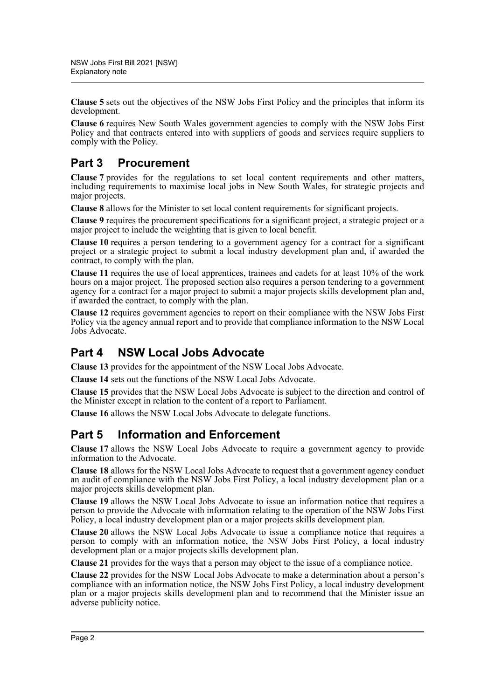**Clause 5** sets out the objectives of the NSW Jobs First Policy and the principles that inform its development.

**Clause 6** requires New South Wales government agencies to comply with the NSW Jobs First Policy and that contracts entered into with suppliers of goods and services require suppliers to comply with the Policy.

## **Part 3 Procurement**

**Clause 7** provides for the regulations to set local content requirements and other matters, including requirements to maximise local jobs in New South Wales, for strategic projects and major projects.

**Clause 8** allows for the Minister to set local content requirements for significant projects.

**Clause 9** requires the procurement specifications for a significant project, a strategic project or a major project to include the weighting that is given to local benefit.

**Clause 10** requires a person tendering to a government agency for a contract for a significant project or a strategic project to submit a local industry development plan and, if awarded the contract, to comply with the plan.

**Clause 11** requires the use of local apprentices, trainees and cadets for at least 10% of the work hours on a major project. The proposed section also requires a person tendering to a government agency for a contract for a major project to submit a major projects skills development plan and, if awarded the contract, to comply with the plan.

**Clause 12** requires government agencies to report on their compliance with the NSW Jobs First Policy via the agency annual report and to provide that compliance information to the NSW Local Jobs Advocate.

## **Part 4 NSW Local Jobs Advocate**

**Clause 13** provides for the appointment of the NSW Local Jobs Advocate.

**Clause 14** sets out the functions of the NSW Local Jobs Advocate.

**Clause 15** provides that the NSW Local Jobs Advocate is subject to the direction and control of the Minister except in relation to the content of a report to Parliament.

**Clause 16** allows the NSW Local Jobs Advocate to delegate functions.

### **Part 5 Information and Enforcement**

**Clause 17** allows the NSW Local Jobs Advocate to require a government agency to provide information to the Advocate.

**Clause 18** allows for the NSW Local Jobs Advocate to request that a government agency conduct an audit of compliance with the NSW Jobs First Policy, a local industry development plan or a major projects skills development plan.

**Clause 19** allows the NSW Local Jobs Advocate to issue an information notice that requires a person to provide the Advocate with information relating to the operation of the NSW Jobs First Policy, a local industry development plan or a major projects skills development plan.

**Clause 20** allows the NSW Local Jobs Advocate to issue a compliance notice that requires a person to comply with an information notice, the NSW Jobs First Policy, a local industry development plan or a major projects skills development plan.

**Clause 21** provides for the ways that a person may object to the issue of a compliance notice.

**Clause 22** provides for the NSW Local Jobs Advocate to make a determination about a person's compliance with an information notice, the NSW Jobs First Policy, a local industry development plan or a major projects skills development plan and to recommend that the Minister issue an adverse publicity notice.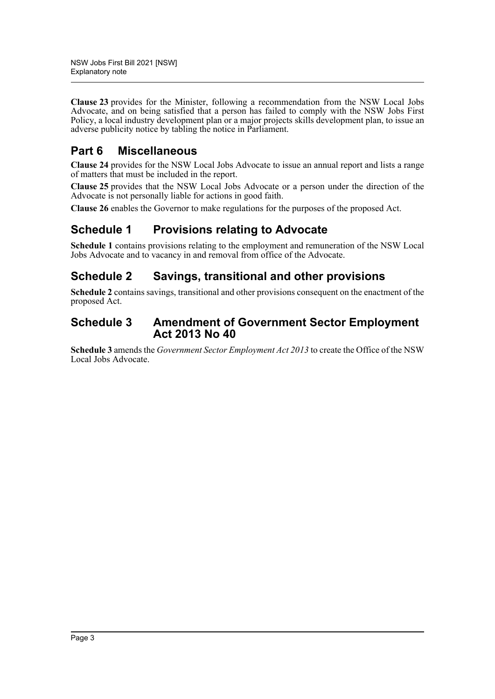**Clause 23** provides for the Minister, following a recommendation from the NSW Local Jobs Advocate, and on being satisfied that a person has failed to comply with the NSW Jobs First Policy, a local industry development plan or a major projects skills development plan, to issue an adverse publicity notice by tabling the notice in Parliament.

## **Part 6 Miscellaneous**

**Clause 24** provides for the NSW Local Jobs Advocate to issue an annual report and lists a range of matters that must be included in the report.

**Clause 25** provides that the NSW Local Jobs Advocate or a person under the direction of the Advocate is not personally liable for actions in good faith.

**Clause 26** enables the Governor to make regulations for the purposes of the proposed Act.

## **Schedule 1 Provisions relating to Advocate**

**Schedule 1** contains provisions relating to the employment and remuneration of the NSW Local Jobs Advocate and to vacancy in and removal from office of the Advocate.

## **Schedule 2 Savings, transitional and other provisions**

**Schedule 2** contains savings, transitional and other provisions consequent on the enactment of the proposed Act.

### **Schedule 3 Amendment of Government Sector Employment Act 2013 No 40**

**Schedule 3** amends the *Government Sector Employment Act 2013* to create the Office of the NSW Local Jobs Advocate.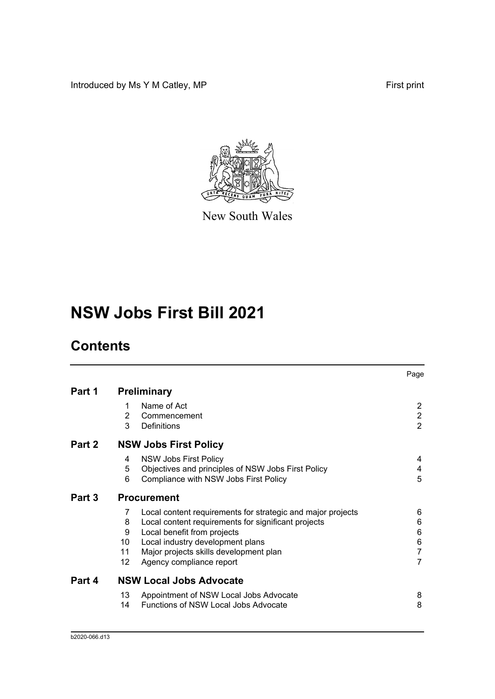Introduced by Ms Y M Catley, MP **First print** 



New South Wales

# **NSW Jobs First Bill 2021**

# **Contents**

|        |        |                                                             | Page                             |
|--------|--------|-------------------------------------------------------------|----------------------------------|
| Part 1 |        | <b>Preliminary</b>                                          |                                  |
|        | 1      | Name of Act                                                 | $\overline{2}$                   |
|        | 2<br>3 | Commencement                                                | $\overline{2}$<br>$\overline{2}$ |
|        |        | Definitions                                                 |                                  |
| Part 2 |        | <b>NSW Jobs First Policy</b>                                |                                  |
|        | 4      | <b>NSW Jobs First Policy</b>                                | 4                                |
|        | 5      | Objectives and principles of NSW Jobs First Policy          | 4                                |
|        | 6      | Compliance with NSW Jobs First Policy                       | 5                                |
| Part 3 |        | <b>Procurement</b>                                          |                                  |
|        | 7      | Local content requirements for strategic and major projects | 6                                |
|        | 8      | Local content requirements for significant projects         | 6                                |
|        | 9      | Local benefit from projects                                 | 6                                |
|        | 10     | Local industry development plans                            | 6                                |
|        | 11     | Major projects skills development plan                      | $\overline{7}$                   |
|        | 12     | Agency compliance report                                    | $\overline{7}$                   |
| Part 4 |        | <b>NSW Local Jobs Advocate</b>                              |                                  |
|        | 13     | Appointment of NSW Local Jobs Advocate                      | 8                                |
|        | 14     | <b>Functions of NSW Local Jobs Advocate</b>                 | 8                                |
|        |        |                                                             |                                  |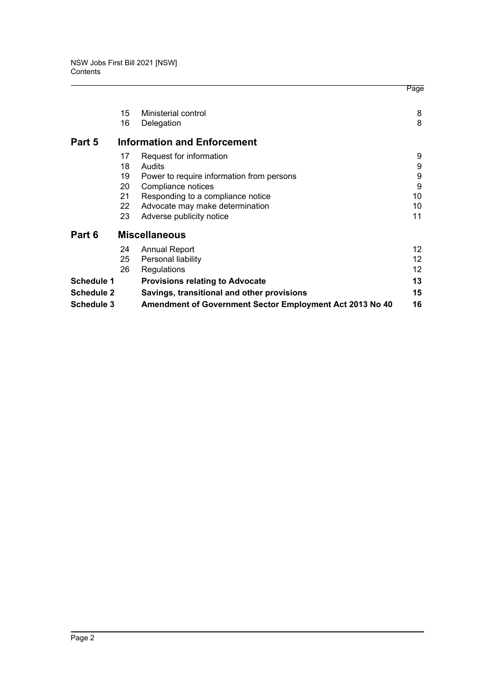|                   |    |                                                          | Page              |
|-------------------|----|----------------------------------------------------------|-------------------|
|                   | 15 | Ministerial control                                      | 8                 |
|                   | 16 | Delegation                                               | 8                 |
| Part 5            |    | <b>Information and Enforcement</b>                       |                   |
|                   | 17 | Request for information                                  | 9                 |
|                   | 18 | Audits                                                   | 9                 |
|                   | 19 | Power to require information from persons                | 9                 |
|                   | 20 | Compliance notices                                       | 9                 |
|                   | 21 | Responding to a compliance notice                        | 10                |
|                   | 22 | Advocate may make determination                          | 10                |
|                   | 23 | Adverse publicity notice                                 | 11                |
| Part 6            |    | <b>Miscellaneous</b>                                     |                   |
|                   | 24 | <b>Annual Report</b>                                     | 12                |
|                   | 25 | Personal liability                                       | $12 \overline{ }$ |
|                   | 26 | Regulations                                              | 12                |
| <b>Schedule 1</b> |    | <b>Provisions relating to Advocate</b>                   | 13                |
| Schedule 2        |    | Savings, transitional and other provisions               | 15                |
| <b>Schedule 3</b> |    | Amendment of Government Sector Employment Act 2013 No 40 | 16                |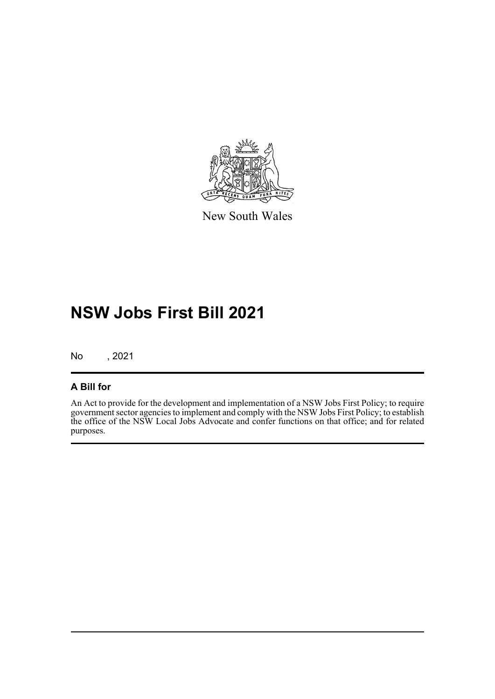

New South Wales

# **NSW Jobs First Bill 2021**

No , 2021

### **A Bill for**

An Act to provide for the development and implementation of a NSW Jobs First Policy; to require government sector agencies to implement and comply with the NSW Jobs First Policy; to establish the office of the NSW Local Jobs Advocate and confer functions on that office; and for related purposes.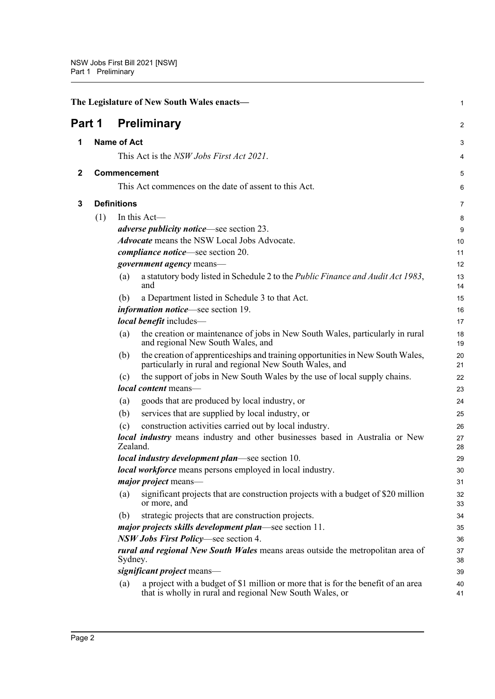<span id="page-6-3"></span><span id="page-6-2"></span><span id="page-6-1"></span><span id="page-6-0"></span>

|              |     |                     | The Legislature of New South Wales enacts-                                                                                                    | 1        |
|--------------|-----|---------------------|-----------------------------------------------------------------------------------------------------------------------------------------------|----------|
| Part 1       |     |                     | <b>Preliminary</b>                                                                                                                            | 2        |
| 1            |     | <b>Name of Act</b>  |                                                                                                                                               | 3        |
|              |     |                     | This Act is the NSW Jobs First Act 2021.                                                                                                      | 4        |
| $\mathbf{2}$ |     | <b>Commencement</b> |                                                                                                                                               | 5        |
|              |     |                     | This Act commences on the date of assent to this Act.                                                                                         | 6        |
| 3            |     | <b>Definitions</b>  |                                                                                                                                               | 7        |
|              | (1) |                     | In this Act-                                                                                                                                  | 8        |
|              |     |                     | <i>adverse publicity notice</i> —see section 23.                                                                                              |          |
|              |     |                     | <b>Advocate</b> means the NSW Local Jobs Advocate.                                                                                            | 9        |
|              |     |                     |                                                                                                                                               | 10       |
|              |     |                     | <i>compliance notice</i> —see section 20.                                                                                                     | 11       |
|              |     |                     | <i>government agency</i> means-                                                                                                               | 12       |
|              |     | (a)                 | a statutory body listed in Schedule 2 to the Public Finance and Audit Act 1983,<br>and                                                        | 13<br>14 |
|              |     | (b)                 | a Department listed in Schedule 3 to that Act.                                                                                                | 15       |
|              |     |                     | <i>information notice</i> —see section 19.                                                                                                    | 16       |
|              |     |                     | local benefit includes-                                                                                                                       | 17       |
|              |     | (a)                 | the creation or maintenance of jobs in New South Wales, particularly in rural<br>and regional New South Wales, and                            | 18<br>19 |
|              |     | (b)                 | the creation of apprenticeships and training opportunities in New South Wales,<br>particularly in rural and regional New South Wales, and     | 20<br>21 |
|              |     | (c)                 | the support of jobs in New South Wales by the use of local supply chains.                                                                     | 22       |
|              |     |                     | local content means-                                                                                                                          | 23       |
|              |     | (a)                 | goods that are produced by local industry, or                                                                                                 | 24       |
|              |     | (b)                 | services that are supplied by local industry, or                                                                                              | 25       |
|              |     | (c)                 | construction activities carried out by local industry.                                                                                        | 26       |
|              |     | Zealand.            | local industry means industry and other businesses based in Australia or New                                                                  | 27<br>28 |
|              |     |                     | <i>local industry development plan—see section 10.</i>                                                                                        | 29       |
|              |     |                     | <i>local workforce</i> means persons employed in local industry.                                                                              | 30       |
|              |     |                     | <i>major project</i> means-                                                                                                                   | 31       |
|              |     | (a)                 | significant projects that are construction projects with a budget of \$20 million<br>or more, and                                             | 32<br>33 |
|              |     | (b)                 | strategic projects that are construction projects.                                                                                            | 34       |
|              |     |                     | major projects skills development plan—see section 11.                                                                                        | 35       |
|              |     |                     | NSW Jobs First Policy—see section 4.                                                                                                          | 36       |
|              |     | Sydney.             | <i>rural and regional New South Wales</i> means areas outside the metropolitan area of                                                        | 37<br>38 |
|              |     |                     | significant project means-                                                                                                                    | 39       |
|              |     | (a)                 | a project with a budget of \$1 million or more that is for the benefit of an area<br>that is wholly in rural and regional New South Wales, or | 40<br>41 |
|              |     |                     |                                                                                                                                               |          |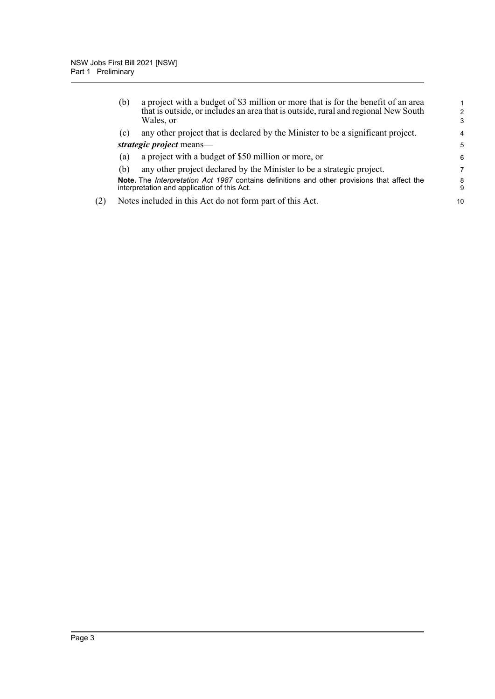|     | (b) | a project with a budget of \$3 million or more that is for the benefit of an area<br>that is outside, or includes an area that is outside, rural and regional New South<br>Wales, or | $\mathcal{P}$<br>3 |
|-----|-----|--------------------------------------------------------------------------------------------------------------------------------------------------------------------------------------|--------------------|
|     | (c) | any other project that is declared by the Minister to be a significant project.                                                                                                      | 4                  |
|     |     | strategic project means—                                                                                                                                                             | 5                  |
|     | (a) | a project with a budget of \$50 million or more, or                                                                                                                                  | 6                  |
|     | (b) | any other project declared by the Minister to be a strategic project.                                                                                                                | 7                  |
|     |     | Note. The Interpretation Act 1987 contains definitions and other provisions that affect the<br>interpretation and application of this Act.                                           | 8<br>9             |
| (2) |     | Notes included in this Act do not form part of this Act.                                                                                                                             | 10                 |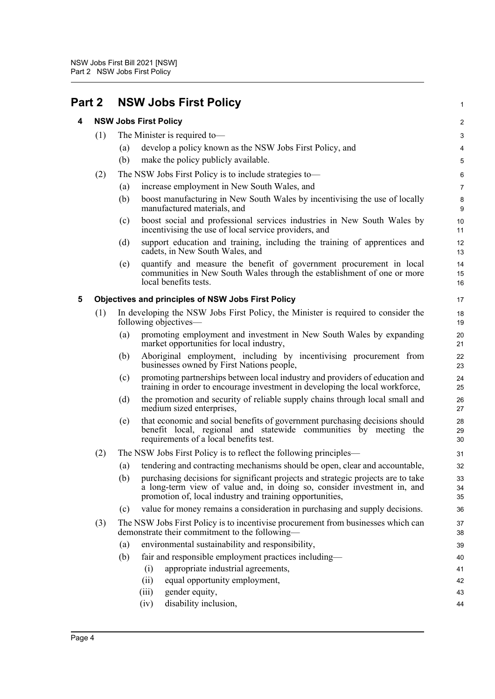<span id="page-8-2"></span><span id="page-8-1"></span><span id="page-8-0"></span>

| Part 2 |     | <b>NSW Jobs First Policy</b>                                                                                                                                                                                                   | $\mathbf{1}$     |  |
|--------|-----|--------------------------------------------------------------------------------------------------------------------------------------------------------------------------------------------------------------------------------|------------------|--|
| 4      |     | <b>NSW Jobs First Policy</b>                                                                                                                                                                                                   |                  |  |
|        | (1) | The Minister is required to-                                                                                                                                                                                                   | 3                |  |
|        |     | develop a policy known as the NSW Jobs First Policy, and<br>(a)                                                                                                                                                                | 4                |  |
|        |     | (b)<br>make the policy publicly available.                                                                                                                                                                                     | 5                |  |
|        | (2) | The NSW Jobs First Policy is to include strategies to-                                                                                                                                                                         | 6                |  |
|        |     | increase employment in New South Wales, and<br>(a)                                                                                                                                                                             | $\boldsymbol{7}$ |  |
|        |     | (b)<br>boost manufacturing in New South Wales by incentivising the use of locally<br>manufactured materials, and                                                                                                               | 8<br>9           |  |
|        |     | boost social and professional services industries in New South Wales by<br>(c)<br>incentivising the use of local service providers, and                                                                                        | 10<br>11         |  |
|        |     | (d)<br>support education and training, including the training of apprentices and<br>cadets, in New South Wales, and                                                                                                            | 12<br>13         |  |
|        |     | quantify and measure the benefit of government procurement in local<br>(e)<br>communities in New South Wales through the establishment of one or more<br>local benefits tests.                                                 | 14<br>15<br>16   |  |
| 5      |     | <b>Objectives and principles of NSW Jobs First Policy</b>                                                                                                                                                                      | 17               |  |
|        | (1) | In developing the NSW Jobs First Policy, the Minister is required to consider the<br>following objectives—                                                                                                                     | 18<br>19         |  |
|        |     | promoting employment and investment in New South Wales by expanding<br>(a)<br>market opportunities for local industry,                                                                                                         | 20<br>21         |  |
|        |     | Aboriginal employment, including by incentivising procurement from<br>(b)<br>businesses owned by First Nations people,                                                                                                         | 22<br>23         |  |
|        |     | promoting partnerships between local industry and providers of education and<br>(c)<br>training in order to encourage investment in developing the local workforce,                                                            | 24<br>25         |  |
|        |     | the promotion and security of reliable supply chains through local small and<br>(d)<br>medium sized enterprises,                                                                                                               | 26<br>27         |  |
|        |     | that economic and social benefits of government purchasing decisions should<br>(e)<br>benefit local, regional and statewide communities by meeting the<br>requirements of a local benefits test.                               | 28<br>29<br>30   |  |
|        | (2) | The NSW Jobs First Policy is to reflect the following principles—                                                                                                                                                              | 31               |  |
|        |     | (a) tendering and contracting mechanisms should be open, clear and accountable,                                                                                                                                                | 32               |  |
|        |     | (b)<br>purchasing decisions for significant projects and strategic projects are to take<br>a long-term view of value and, in doing so, consider investment in, and<br>promotion of, local industry and training opportunities, | 33<br>34<br>35   |  |
|        |     | value for money remains a consideration in purchasing and supply decisions.<br>(c)                                                                                                                                             | 36               |  |
|        | (3) | The NSW Jobs First Policy is to incentivise procurement from businesses which can<br>demonstrate their commitment to the following—                                                                                            | 37<br>38         |  |
|        |     | environmental sustainability and responsibility,<br>(a)                                                                                                                                                                        | 39               |  |
|        |     | fair and responsible employment practices including-<br>(b)                                                                                                                                                                    | 40               |  |
|        |     | appropriate industrial agreements,<br>(i)                                                                                                                                                                                      | 41               |  |
|        |     | equal opportunity employment,<br>(ii)                                                                                                                                                                                          | 42               |  |
|        |     | gender equity,<br>(iii)                                                                                                                                                                                                        | 43               |  |
|        |     | disability inclusion,<br>(iv)                                                                                                                                                                                                  | 44               |  |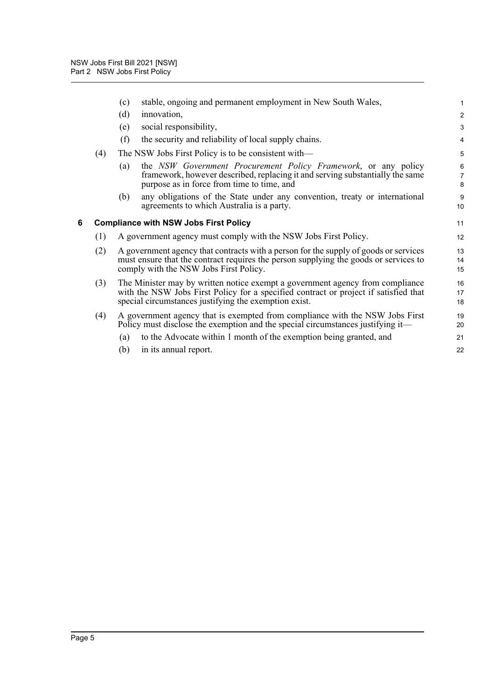<span id="page-9-0"></span>

|   |     | stable, ongoing and permanent employment in New South Wales,<br>(c)                                                                                                                                                            | $\mathbf{1}$             |
|---|-----|--------------------------------------------------------------------------------------------------------------------------------------------------------------------------------------------------------------------------------|--------------------------|
|   |     | (d)<br>innovation,                                                                                                                                                                                                             | $\overline{c}$           |
|   |     | social responsibility,<br>(e)                                                                                                                                                                                                  | $\mathbf{3}$             |
|   |     | (f)<br>the security and reliability of local supply chains.                                                                                                                                                                    | $\overline{4}$           |
|   | (4) | The NSW Jobs First Policy is to be consistent with—                                                                                                                                                                            | 5                        |
|   |     | the NSW Government Procurement Policy Framework, or any policy<br>(a)<br>framework, however described, replacing it and serving substantially the same<br>purpose as in force from time to time, and                           | 6<br>$\overline{7}$<br>8 |
|   |     | any obligations of the State under any convention, treaty or international<br>(b)<br>agreements to which Australia is a party.                                                                                                 | 9<br>10                  |
| 6 |     | <b>Compliance with NSW Jobs First Policy</b>                                                                                                                                                                                   | 11                       |
|   | (1) | A government agency must comply with the NSW Jobs First Policy.                                                                                                                                                                | 12                       |
|   | (2) | A government agency that contracts with a person for the supply of goods or services<br>must ensure that the contract requires the person supplying the goods or services to<br>comply with the NSW Jobs First Policy.         | 13<br>14<br>15           |
|   | (3) | The Minister may by written notice exempt a government agency from compliance<br>with the NSW Jobs First Policy for a specified contract or project if satisfied that<br>special circumstances justifying the exemption exist. | 16<br>17<br>18           |
|   | (4) | A government agency that is exempted from compliance with the NSW Jobs First<br>Policy must disclose the exemption and the special circumstances justifying it—                                                                | 19<br>20                 |
|   |     | to the Advocate within 1 month of the exemption being granted, and<br>(a)                                                                                                                                                      | 21                       |
|   |     | in its annual report.<br>(b)                                                                                                                                                                                                   | 22                       |
|   |     |                                                                                                                                                                                                                                |                          |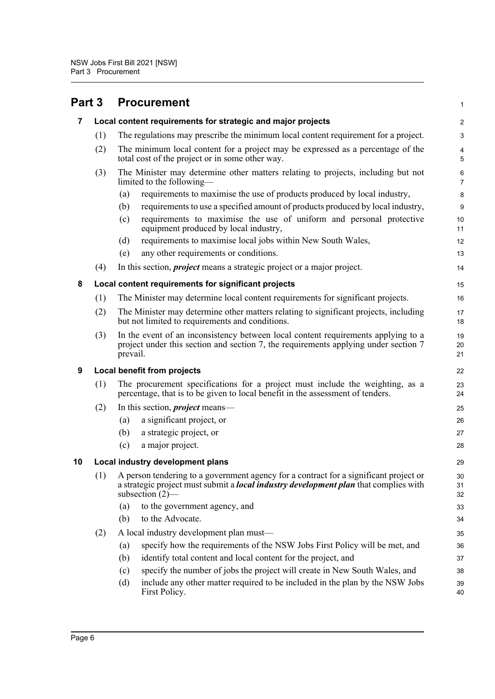<span id="page-10-4"></span><span id="page-10-3"></span><span id="page-10-2"></span><span id="page-10-1"></span><span id="page-10-0"></span>

| Part 3         |     | <b>Procurement</b>                                                                                                                                                                                         | $\mathbf{1}$        |
|----------------|-----|------------------------------------------------------------------------------------------------------------------------------------------------------------------------------------------------------------|---------------------|
| $\overline{7}$ |     | Local content requirements for strategic and major projects                                                                                                                                                | $\overline{2}$      |
|                | (1) | The regulations may prescribe the minimum local content requirement for a project.                                                                                                                         | 3                   |
|                | (2) | The minimum local content for a project may be expressed as a percentage of the<br>total cost of the project or in some other way.                                                                         | 4<br>5              |
|                | (3) | The Minister may determine other matters relating to projects, including but not<br>limited to the following-                                                                                              | 6<br>$\overline{7}$ |
|                |     | requirements to maximise the use of products produced by local industry,<br>(a)                                                                                                                            | 8                   |
|                |     | requirements to use a specified amount of products produced by local industry,<br>(b)                                                                                                                      | $9\,$               |
|                |     | requirements to maximise the use of uniform and personal protective<br>(c)<br>equipment produced by local industry,                                                                                        | 10<br>11            |
|                |     | requirements to maximise local jobs within New South Wales,<br>(d)                                                                                                                                         | 12                  |
|                |     | any other requirements or conditions.<br>(e)                                                                                                                                                               | 13                  |
|                | (4) | In this section, <i>project</i> means a strategic project or a major project.                                                                                                                              | 14                  |
| 8              |     | Local content requirements for significant projects                                                                                                                                                        | 15                  |
|                | (1) | The Minister may determine local content requirements for significant projects.                                                                                                                            | 16                  |
|                | (2) | The Minister may determine other matters relating to significant projects, including<br>but not limited to requirements and conditions.                                                                    | 17<br>18            |
|                | (3) | In the event of an inconsistency between local content requirements applying to a<br>project under this section and section 7, the requirements applying under section 7<br>prevail.                       | 19<br>20<br>21      |
| 9              |     | Local benefit from projects                                                                                                                                                                                | 22                  |
|                | (1) | The procurement specifications for a project must include the weighting, as a<br>percentage, that is to be given to local benefit in the assessment of tenders.                                            | 23<br>24            |
|                | (2) | In this section, <i>project</i> means—                                                                                                                                                                     | 25                  |
|                |     | a significant project, or<br>(a)                                                                                                                                                                           | 26                  |
|                |     | (b)<br>a strategic project, or                                                                                                                                                                             | 27                  |
|                |     | (c)<br>a major project.                                                                                                                                                                                    | 28                  |
| 10             |     | Local industry development plans                                                                                                                                                                           | 29                  |
|                | (1) | A person tendering to a government agency for a contract for a significant project or<br>a strategic project must submit a <i>local industry development plan</i> that complies with<br>subsection $(2)$ — | 30<br>31<br>32      |
|                |     | to the government agency, and<br>(a)                                                                                                                                                                       | 33                  |
|                |     | to the Advocate.<br>(b)                                                                                                                                                                                    | 34                  |
|                | (2) | A local industry development plan must-                                                                                                                                                                    | 35                  |
|                |     | specify how the requirements of the NSW Jobs First Policy will be met, and<br>(a)                                                                                                                          | 36                  |
|                |     | identify total content and local content for the project, and<br>(b)                                                                                                                                       | 37                  |
|                |     | specify the number of jobs the project will create in New South Wales, and<br>(c)                                                                                                                          | 38                  |
|                |     | include any other matter required to be included in the plan by the NSW Jobs<br>(d)<br>First Policy.                                                                                                       | 39<br>40            |
|                |     |                                                                                                                                                                                                            |                     |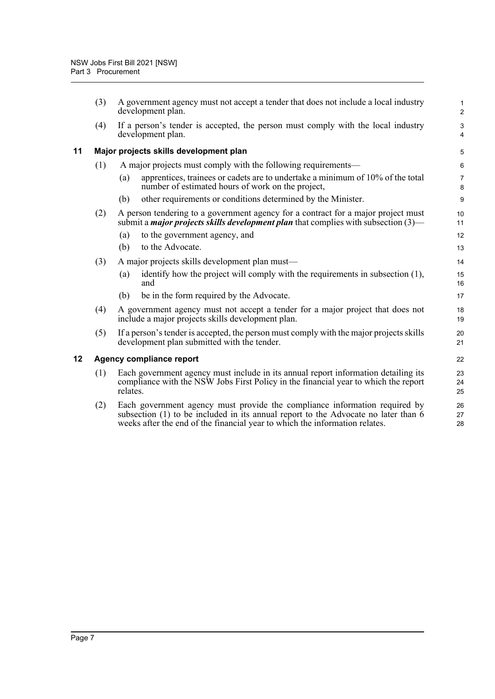<span id="page-11-1"></span><span id="page-11-0"></span>

|    | (3) | A government agency must not accept a tender that does not include a local industry<br>development plan.                                                                                                                                        | $\mathbf 1$<br>$\overline{c}$ |
|----|-----|-------------------------------------------------------------------------------------------------------------------------------------------------------------------------------------------------------------------------------------------------|-------------------------------|
|    | (4) | If a person's tender is accepted, the person must comply with the local industry<br>development plan.                                                                                                                                           | 3<br>$\overline{4}$           |
| 11 |     | Major projects skills development plan                                                                                                                                                                                                          | 5                             |
|    | (1) | A major projects must comply with the following requirements—                                                                                                                                                                                   | 6                             |
|    |     | apprentices, trainees or cadets are to undertake a minimum of 10% of the total<br>(a)<br>number of estimated hours of work on the project,                                                                                                      | $\overline{7}$<br>8           |
|    |     | other requirements or conditions determined by the Minister.<br>(b)                                                                                                                                                                             | 9                             |
|    | (2) | A person tendering to a government agency for a contract for a major project must<br>submit a <i>major projects skills development plan</i> that complies with subsection $(3)$ —                                                               | 10<br>11                      |
|    |     | to the government agency, and<br>(a)                                                                                                                                                                                                            | 12                            |
|    |     | (b)<br>to the Advocate.                                                                                                                                                                                                                         | 13                            |
|    | (3) | A major projects skills development plan must—                                                                                                                                                                                                  | 14                            |
|    |     | identify how the project will comply with the requirements in subsection (1),<br>(a)<br>and                                                                                                                                                     | 15<br>16                      |
|    |     | be in the form required by the Advocate.<br>(b)                                                                                                                                                                                                 | 17                            |
|    | (4) | A government agency must not accept a tender for a major project that does not<br>include a major projects skills development plan.                                                                                                             | 18<br>19                      |
|    | (5) | If a person's tender is accepted, the person must comply with the major projects skills<br>development plan submitted with the tender.                                                                                                          | 20<br>21                      |
| 12 |     | Agency compliance report                                                                                                                                                                                                                        | 22                            |
|    | (1) | Each government agency must include in its annual report information detailing its<br>compliance with the NSW Jobs First Policy in the financial year to which the report<br>relates.                                                           | 23<br>24<br>25                |
|    | (2) | Each government agency must provide the compliance information required by<br>subsection (1) to be included in its annual report to the Advocate no later than 6<br>weeks after the end of the financial year to which the information relates. | 26<br>27<br>28                |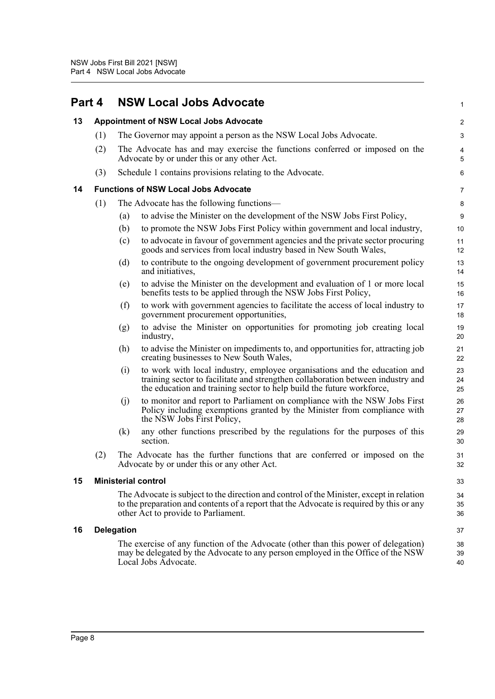<span id="page-12-4"></span><span id="page-12-3"></span><span id="page-12-2"></span><span id="page-12-1"></span><span id="page-12-0"></span>

| Part 4 |     |                            | <b>NSW Local Jobs Advocate</b>                                                                                                                                                                                                        | 1              |
|--------|-----|----------------------------|---------------------------------------------------------------------------------------------------------------------------------------------------------------------------------------------------------------------------------------|----------------|
| 13     |     |                            | <b>Appointment of NSW Local Jobs Advocate</b>                                                                                                                                                                                         | $\overline{c}$ |
|        | (1) |                            | The Governor may appoint a person as the NSW Local Jobs Advocate.                                                                                                                                                                     | 3              |
|        | (2) |                            | The Advocate has and may exercise the functions conferred or imposed on the<br>Advocate by or under this or any other Act.                                                                                                            | 4<br>5         |
|        | (3) |                            | Schedule 1 contains provisions relating to the Advocate.                                                                                                                                                                              | 6              |
| 14     |     |                            | <b>Functions of NSW Local Jobs Advocate</b>                                                                                                                                                                                           | 7              |
|        | (1) |                            | The Advocate has the following functions—                                                                                                                                                                                             | 8              |
|        |     | (a)                        | to advise the Minister on the development of the NSW Jobs First Policy,                                                                                                                                                               | 9              |
|        |     | (b)                        | to promote the NSW Jobs First Policy within government and local industry,                                                                                                                                                            | 10             |
|        |     | (c)                        | to advocate in favour of government agencies and the private sector procuring<br>goods and services from local industry based in New South Wales,                                                                                     | 11<br>12       |
|        |     | (d)                        | to contribute to the ongoing development of government procurement policy<br>and initiatives,                                                                                                                                         | 13<br>14       |
|        |     | (e)                        | to advise the Minister on the development and evaluation of 1 or more local<br>benefits tests to be applied through the NSW Jobs First Policy,                                                                                        | 15<br>16       |
|        |     | (f)                        | to work with government agencies to facilitate the access of local industry to<br>government procurement opportunities,                                                                                                               | 17<br>18       |
|        |     | (g)                        | to advise the Minister on opportunities for promoting job creating local<br>industry,                                                                                                                                                 | 19<br>20       |
|        |     | (h)                        | to advise the Minister on impediments to, and opportunities for, attracting job<br>creating businesses to New South Wales,                                                                                                            | 21<br>22       |
|        |     | (i)                        | to work with local industry, employee organisations and the education and<br>training sector to facilitate and strengthen collaboration between industry and<br>the education and training sector to help build the future workforce, | 23<br>24<br>25 |
|        |     | (j)                        | to monitor and report to Parliament on compliance with the NSW Jobs First<br>Policy including exemptions granted by the Minister from compliance with<br>the NSW Jobs First Policy,                                                   | 26<br>27<br>28 |
|        |     | (k)                        | any other functions prescribed by the regulations for the purposes of this<br>section.                                                                                                                                                | 29<br>30       |
|        | (2) |                            | The Advocate has the further functions that are conferred or imposed on the<br>Advocate by or under this or any other Act.                                                                                                            | 31<br>32       |
| 15     |     | <b>Ministerial control</b> |                                                                                                                                                                                                                                       | 33             |
|        |     |                            | The Advocate is subject to the direction and control of the Minister, except in relation<br>to the preparation and contents of a report that the Advocate is required by this or any<br>other Act to provide to Parliament.           | 34<br>35<br>36 |
| 16     |     | <b>Delegation</b>          |                                                                                                                                                                                                                                       | 37             |
|        |     |                            | The exercise of any function of the Advocate (other than this power of delegation)<br>may be delegated by the Advocate to any person employed in the Office of the NSW<br>Local Jobs Advocate.                                        | 38<br>39<br>40 |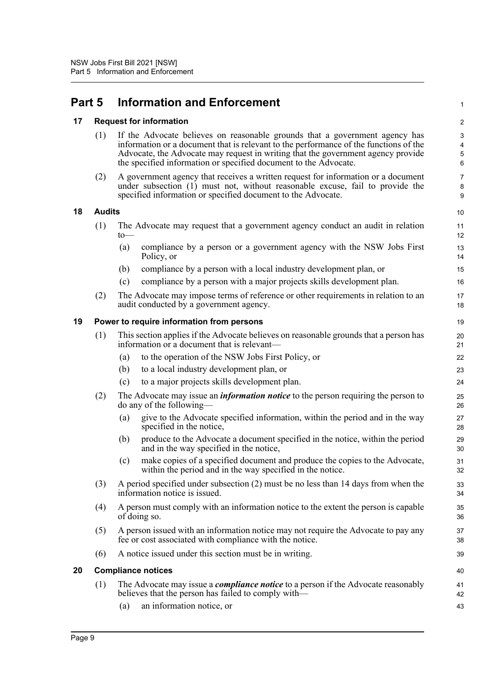## <span id="page-13-0"></span>**Part 5 Information and Enforcement**

#### <span id="page-13-1"></span>**17 Request for information**

| (1) If the Advocate believes on reasonable grounds that a government agency has       |
|---------------------------------------------------------------------------------------|
| information or a document that is relevant to the performance of the functions of the |
| Advocate, the Advocate may request in writing that the government agency provide      |
| the specified information or specified document to the Advocate.                      |

1

10

(2) A government agency that receives a written request for information or a document under subsection (1) must not, without reasonable excuse, fail to provide the specified information or specified document to the Advocate.

#### <span id="page-13-2"></span>**18 Audits**

| $10$ — | (1) The Advocate may request that a government agency conduct an audit in relation  | 11       |
|--------|-------------------------------------------------------------------------------------|----------|
| (a)    | compliance by a person or a government agency with the NSW Jobs First<br>Policy, or | 13<br>14 |

- (b) compliance by a person with a local industry development plan, or
- (c) compliance by a person with a major projects skills development plan.
- (2) The Advocate may impose terms of reference or other requirements in relation to an audit conducted by a government agency.

#### <span id="page-13-3"></span>**19 Power to require information from persons**

|  | (1) This section applies if the Advocate believes on reasonable grounds that a person has<br>information or a document that is relevant— |
|--|------------------------------------------------------------------------------------------------------------------------------------------|
|--|------------------------------------------------------------------------------------------------------------------------------------------|

- (a) to the operation of the NSW Jobs First Policy, or
- (b) to a local industry development plan, or
- (c) to a major projects skills development plan.
- (2) The Advocate may issue an *information notice* to the person requiring the person to do any of the following—
	- (a) give to the Advocate specified information, within the period and in the way specified in the notice,
	- (b) produce to the Advocate a document specified in the notice, within the period and in the way specified in the notice,
	- (c) make copies of a specified document and produce the copies to the Advocate, within the period and in the way specified in the notice.
- (3) A period specified under subsection (2) must be no less than 14 days from when the information notice is issued.
- (4) A person must comply with an information notice to the extent the person is capable of doing so.
- (5) A person issued with an information notice may not require the Advocate to pay any fee or cost associated with compliance with the notice.
- (6) A notice issued under this section must be in writing.

### <span id="page-13-4"></span>**20 Compliance notices** (1) The Advocate may issue a *compliance notice* to a person if the Advocate reasonably believes that the person has failed to comply with—

(a) an information notice, or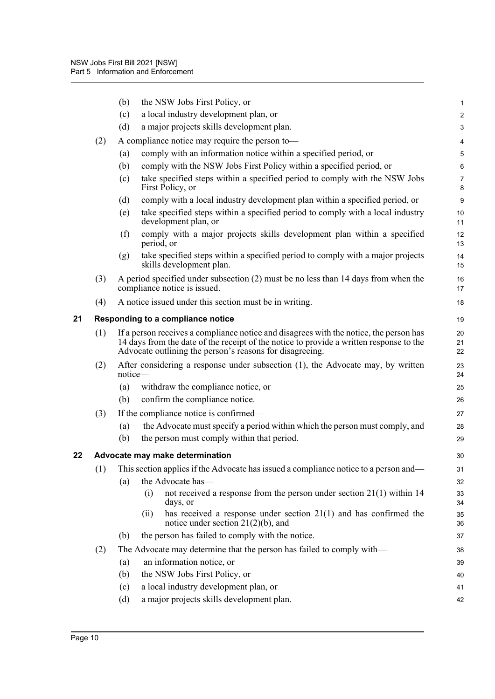<span id="page-14-1"></span><span id="page-14-0"></span>

|    |     | (b)                                                                                                                                                                                                                                                             | the NSW Jobs First Policy, or                                                                                        | 1                       |  |
|----|-----|-----------------------------------------------------------------------------------------------------------------------------------------------------------------------------------------------------------------------------------------------------------------|----------------------------------------------------------------------------------------------------------------------|-------------------------|--|
|    |     | (c)                                                                                                                                                                                                                                                             | a local industry development plan, or                                                                                | $\overline{\mathbf{c}}$ |  |
|    |     | (d)                                                                                                                                                                                                                                                             | a major projects skills development plan.                                                                            | 3                       |  |
|    | (2) |                                                                                                                                                                                                                                                                 | A compliance notice may require the person to-                                                                       | 4                       |  |
|    |     | (a)                                                                                                                                                                                                                                                             | comply with an information notice within a specified period, or                                                      | 5                       |  |
|    |     | (b)                                                                                                                                                                                                                                                             | comply with the NSW Jobs First Policy within a specified period, or                                                  | 6                       |  |
|    |     | (c)                                                                                                                                                                                                                                                             | take specified steps within a specified period to comply with the NSW Jobs<br>First Policy, or                       | 7<br>8                  |  |
|    |     | (d)                                                                                                                                                                                                                                                             | comply with a local industry development plan within a specified period, or                                          | 9                       |  |
|    |     | (e)                                                                                                                                                                                                                                                             | take specified steps within a specified period to comply with a local industry<br>development plan, or               | 10<br>11                |  |
|    |     | (f)                                                                                                                                                                                                                                                             | comply with a major projects skills development plan within a specified<br>period, or                                | 12<br>13                |  |
|    |     | (g)                                                                                                                                                                                                                                                             | take specified steps within a specified period to comply with a major projects<br>skills development plan.           | 14<br>15                |  |
|    | (3) |                                                                                                                                                                                                                                                                 | A period specified under subsection (2) must be no less than 14 days from when the<br>compliance notice is issued.   | 16<br>17                |  |
|    | (4) |                                                                                                                                                                                                                                                                 | A notice issued under this section must be in writing.                                                               | 18                      |  |
| 21 |     |                                                                                                                                                                                                                                                                 | Responding to a compliance notice                                                                                    | 19                      |  |
|    | (1) | If a person receives a compliance notice and disagrees with the notice, the person has<br>20<br>14 days from the date of the receipt of the notice to provide a written response to the<br>21<br>Advocate outlining the person's reasons for disagreeing.<br>22 |                                                                                                                      |                         |  |
|    | (2) | notice-                                                                                                                                                                                                                                                         | After considering a response under subsection $(1)$ , the Advocate may, by written                                   | 23<br>24                |  |
|    |     | (a)                                                                                                                                                                                                                                                             | withdraw the compliance notice, or                                                                                   | 25                      |  |
|    |     | (b)                                                                                                                                                                                                                                                             | confirm the compliance notice.                                                                                       | 26                      |  |
|    | (3) |                                                                                                                                                                                                                                                                 | If the compliance notice is confirmed—                                                                               | 27                      |  |
|    |     | (a)                                                                                                                                                                                                                                                             | the Advocate must specify a period within which the person must comply, and                                          | 28                      |  |
|    |     | (b)                                                                                                                                                                                                                                                             | the person must comply within that period.                                                                           | 29                      |  |
| 22 |     |                                                                                                                                                                                                                                                                 | Advocate may make determination                                                                                      | 30                      |  |
|    |     |                                                                                                                                                                                                                                                                 | (1) This section applies if the Advocate has issued a compliance notice to a person and—                             | 31                      |  |
|    |     | (a)                                                                                                                                                                                                                                                             | the Advocate has-                                                                                                    | 32                      |  |
|    |     |                                                                                                                                                                                                                                                                 | not received a response from the person under section $21(1)$ within 14<br>(i)<br>days, or                           | 33<br>34                |  |
|    |     |                                                                                                                                                                                                                                                                 | has received a response under section $21(1)$ and has confirmed the<br>(ii)<br>notice under section $21(2)(b)$ , and | 35<br>36                |  |
|    |     | (b)                                                                                                                                                                                                                                                             | the person has failed to comply with the notice.                                                                     | 37                      |  |
|    | (2) | The Advocate may determine that the person has failed to comply with—                                                                                                                                                                                           |                                                                                                                      |                         |  |
|    |     | (a)                                                                                                                                                                                                                                                             | an information notice, or                                                                                            | 39                      |  |
|    |     | (b)                                                                                                                                                                                                                                                             | the NSW Jobs First Policy, or                                                                                        | 40                      |  |
|    |     | (c)                                                                                                                                                                                                                                                             | a local industry development plan, or                                                                                | 41                      |  |
|    |     | (d)                                                                                                                                                                                                                                                             | a major projects skills development plan.                                                                            | 42                      |  |
|    |     |                                                                                                                                                                                                                                                                 |                                                                                                                      |                         |  |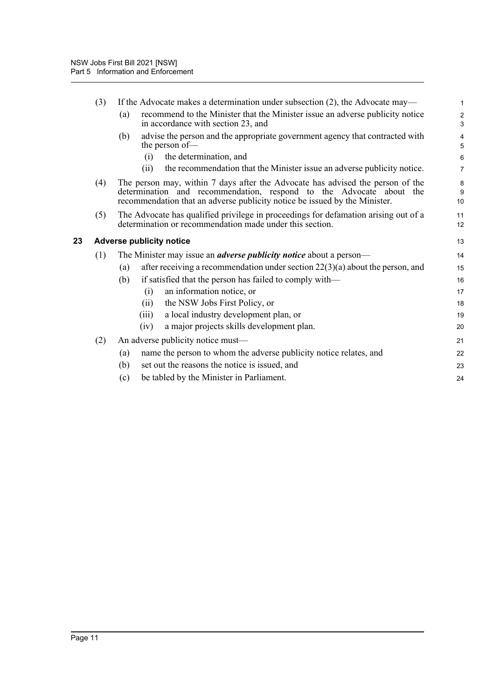<span id="page-15-0"></span>

|    | (3) | If the Advocate makes a determination under subsection $(2)$ , the Advocate may—                                                                                                                                                    | $\mathbf{1}$        |  |  |  |
|----|-----|-------------------------------------------------------------------------------------------------------------------------------------------------------------------------------------------------------------------------------------|---------------------|--|--|--|
|    |     | recommend to the Minister that the Minister issue an adverse publicity notice<br>(a)<br>in accordance with section 23, and                                                                                                          | $\overline{2}$<br>3 |  |  |  |
|    |     | advise the person and the appropriate government agency that contracted with<br>(b)<br>the person of-                                                                                                                               | 4<br>5              |  |  |  |
|    |     | the determination, and<br>(i)                                                                                                                                                                                                       | 6                   |  |  |  |
|    |     | the recommendation that the Minister issue an adverse publicity notice.<br>(ii)                                                                                                                                                     | $\overline{7}$      |  |  |  |
|    | (4) | The person may, within 7 days after the Advocate has advised the person of the<br>determination and recommendation, respond to the Advocate about the<br>recommendation that an adverse publicity notice be issued by the Minister. |                     |  |  |  |
|    | (5) | The Advocate has qualified privilege in proceedings for defamation arising out of a<br>determination or recommendation made under this section.                                                                                     | 11<br>12            |  |  |  |
| 23 |     | <b>Adverse publicity notice</b>                                                                                                                                                                                                     |                     |  |  |  |
|    | (1) | The Minister may issue an <i>adverse publicity notice</i> about a person—                                                                                                                                                           |                     |  |  |  |
|    |     | after receiving a recommendation under section $22(3)(a)$ about the person, and<br>(a)                                                                                                                                              | 15                  |  |  |  |
|    |     | if satisfied that the person has failed to comply with—<br>(b)                                                                                                                                                                      | 16                  |  |  |  |
|    |     | an information notice, or<br>(i)                                                                                                                                                                                                    | 17                  |  |  |  |
|    |     | the NSW Jobs First Policy, or<br>(ii)                                                                                                                                                                                               | 18                  |  |  |  |
|    |     | a local industry development plan, or<br>(iii)                                                                                                                                                                                      | 19                  |  |  |  |
|    |     | a major projects skills development plan.<br>(iv)                                                                                                                                                                                   | 20                  |  |  |  |
|    | (2) | An adverse publicity notice must—                                                                                                                                                                                                   |                     |  |  |  |
|    |     | name the person to whom the adverse publicity notice relates, and<br>(a)                                                                                                                                                            | 22                  |  |  |  |
|    |     | (b)<br>set out the reasons the notice is issued, and                                                                                                                                                                                | 23                  |  |  |  |
|    |     | be tabled by the Minister in Parliament.<br>(c)                                                                                                                                                                                     | 24                  |  |  |  |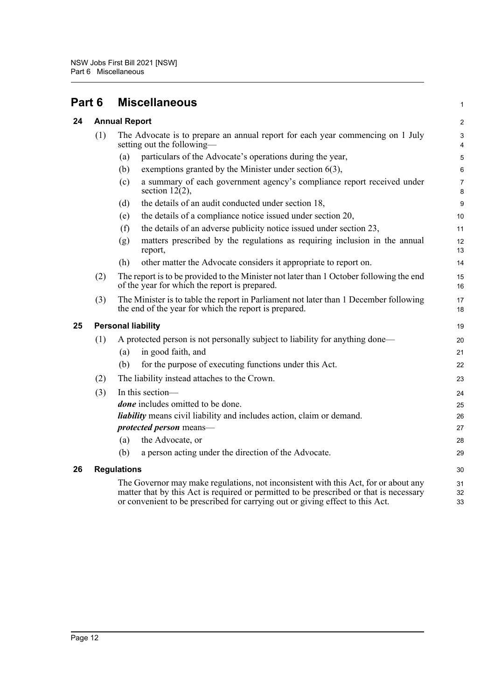<span id="page-16-3"></span><span id="page-16-2"></span><span id="page-16-1"></span><span id="page-16-0"></span>

| Part 6 |                                                                                                                                                                                                                                                                | <b>Miscellaneous</b>                                                                                                                           |          |  |
|--------|----------------------------------------------------------------------------------------------------------------------------------------------------------------------------------------------------------------------------------------------------------------|------------------------------------------------------------------------------------------------------------------------------------------------|----------|--|
| 24     | <b>Annual Report</b>                                                                                                                                                                                                                                           |                                                                                                                                                |          |  |
|        | (1)                                                                                                                                                                                                                                                            | The Advocate is to prepare an annual report for each year commencing on 1 July<br>setting out the following-                                   |          |  |
|        |                                                                                                                                                                                                                                                                | particulars of the Advocate's operations during the year,<br>(a)                                                                               | 5        |  |
|        |                                                                                                                                                                                                                                                                | exemptions granted by the Minister under section 6(3),<br>(b)                                                                                  | 6        |  |
|        |                                                                                                                                                                                                                                                                | a summary of each government agency's compliance report received under<br>(c)<br>section $12(2)$ ,                                             | 7<br>8   |  |
|        |                                                                                                                                                                                                                                                                | the details of an audit conducted under section 18,<br>(d)                                                                                     | 9        |  |
|        |                                                                                                                                                                                                                                                                | the details of a compliance notice issued under section 20,<br>(e)                                                                             | 10       |  |
|        |                                                                                                                                                                                                                                                                | the details of an adverse publicity notice issued under section 23,<br>(f)                                                                     | 11       |  |
|        |                                                                                                                                                                                                                                                                | matters prescribed by the regulations as requiring inclusion in the annual<br>(g)<br>report,                                                   | 12<br>13 |  |
|        |                                                                                                                                                                                                                                                                | (h)<br>other matter the Advocate considers it appropriate to report on.                                                                        | 14       |  |
|        | (2)                                                                                                                                                                                                                                                            | The report is to be provided to the Minister not later than 1 October following the end<br>of the year for which the report is prepared.       |          |  |
|        | (3)                                                                                                                                                                                                                                                            | The Minister is to table the report in Parliament not later than 1 December following<br>the end of the year for which the report is prepared. |          |  |
| 25     | <b>Personal liability</b>                                                                                                                                                                                                                                      |                                                                                                                                                |          |  |
|        | (1)                                                                                                                                                                                                                                                            | A protected person is not personally subject to liability for anything done—<br>in good faith, and<br>(a)                                      | 20<br>21 |  |
|        |                                                                                                                                                                                                                                                                | for the purpose of executing functions under this Act.<br>(b)                                                                                  | 22       |  |
|        | (2)                                                                                                                                                                                                                                                            | The liability instead attaches to the Crown.                                                                                                   | 23       |  |
|        | (3)                                                                                                                                                                                                                                                            | In this section-                                                                                                                               |          |  |
|        |                                                                                                                                                                                                                                                                | <i>done</i> includes omitted to be done.                                                                                                       | 24<br>25 |  |
|        |                                                                                                                                                                                                                                                                | <i>liability</i> means civil liability and includes action, claim or demand.                                                                   | 26       |  |
|        |                                                                                                                                                                                                                                                                | protected person means-                                                                                                                        | 27       |  |
|        |                                                                                                                                                                                                                                                                | the Advocate, or<br>(a)                                                                                                                        | 28       |  |
|        |                                                                                                                                                                                                                                                                | a person acting under the direction of the Advocate.<br>(b)                                                                                    | 29       |  |
| 26     | <b>Regulations</b>                                                                                                                                                                                                                                             |                                                                                                                                                |          |  |
|        | The Governor may make regulations, not inconsistent with this Act, for or about any<br>matter that by this Act is required or permitted to be prescribed or that is necessary<br>or convenient to be prescribed for carrying out or giving effect to this Act. |                                                                                                                                                |          |  |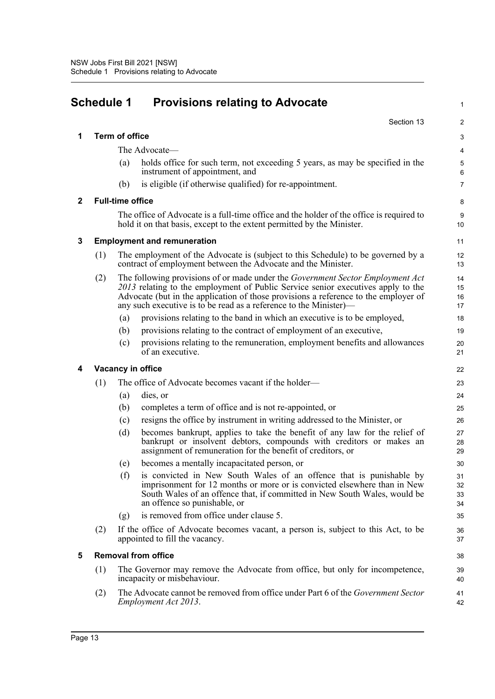<span id="page-17-0"></span>

| <b>Schedule 1</b> |                                                                                                                    |                                                                                                                                                   | <b>Provisions relating to Advocate</b>                                                                                                                                                                                                                                                                                                |                      |  |
|-------------------|--------------------------------------------------------------------------------------------------------------------|---------------------------------------------------------------------------------------------------------------------------------------------------|---------------------------------------------------------------------------------------------------------------------------------------------------------------------------------------------------------------------------------------------------------------------------------------------------------------------------------------|----------------------|--|
|                   |                                                                                                                    |                                                                                                                                                   | Section 13                                                                                                                                                                                                                                                                                                                            | 2                    |  |
| 1                 |                                                                                                                    | <b>Term of office</b>                                                                                                                             |                                                                                                                                                                                                                                                                                                                                       | 3                    |  |
|                   |                                                                                                                    |                                                                                                                                                   | The Advocate—                                                                                                                                                                                                                                                                                                                         | $\overline{4}$       |  |
|                   |                                                                                                                    | (a)                                                                                                                                               | holds office for such term, not exceeding 5 years, as may be specified in the<br>instrument of appointment, and                                                                                                                                                                                                                       | 5<br>6               |  |
|                   |                                                                                                                    | (b)                                                                                                                                               | is eligible (if otherwise qualified) for re-appointment.                                                                                                                                                                                                                                                                              | $\overline{7}$       |  |
| $\mathbf{2}$      |                                                                                                                    | <b>Full-time office</b>                                                                                                                           |                                                                                                                                                                                                                                                                                                                                       | 8                    |  |
|                   |                                                                                                                    |                                                                                                                                                   | The office of Advocate is a full-time office and the holder of the office is required to<br>hold it on that basis, except to the extent permitted by the Minister.                                                                                                                                                                    | 9<br>10              |  |
| 3                 | <b>Employment and remuneration</b>                                                                                 |                                                                                                                                                   |                                                                                                                                                                                                                                                                                                                                       |                      |  |
|                   | (1)                                                                                                                | The employment of the Advocate is (subject to this Schedule) to be governed by a<br>contract of employment between the Advocate and the Minister. |                                                                                                                                                                                                                                                                                                                                       | 12<br>13             |  |
|                   | (2)                                                                                                                |                                                                                                                                                   | The following provisions of or made under the <i>Government Sector Employment Act</i><br>2013 relating to the employment of Public Service senior executives apply to the<br>Advocate (but in the application of those provisions a reference to the employer of<br>any such executive is to be read as a reference to the Minister)— | 14<br>15<br>16<br>17 |  |
|                   |                                                                                                                    | (a)                                                                                                                                               | provisions relating to the band in which an executive is to be employed,                                                                                                                                                                                                                                                              | 18                   |  |
|                   |                                                                                                                    | (b)                                                                                                                                               | provisions relating to the contract of employment of an executive,                                                                                                                                                                                                                                                                    | 19                   |  |
|                   |                                                                                                                    | (c)                                                                                                                                               | provisions relating to the remuneration, employment benefits and allowances<br>of an executive.                                                                                                                                                                                                                                       | 20<br>21             |  |
| 4                 | Vacancy in office                                                                                                  |                                                                                                                                                   |                                                                                                                                                                                                                                                                                                                                       |                      |  |
|                   | (1)                                                                                                                |                                                                                                                                                   | The office of Advocate becomes vacant if the holder—                                                                                                                                                                                                                                                                                  | 23                   |  |
|                   |                                                                                                                    | (a)                                                                                                                                               | dies, or                                                                                                                                                                                                                                                                                                                              | 24                   |  |
|                   |                                                                                                                    | (b)                                                                                                                                               | completes a term of office and is not re-appointed, or                                                                                                                                                                                                                                                                                | 25                   |  |
|                   |                                                                                                                    | (c)                                                                                                                                               | resigns the office by instrument in writing addressed to the Minister, or                                                                                                                                                                                                                                                             | 26                   |  |
|                   |                                                                                                                    | (d)                                                                                                                                               | becomes bankrupt, applies to take the benefit of any law for the relief of<br>bankrupt or insolvent debtors, compounds with creditors or makes an<br>assignment of remuneration for the benefit of creditors, or                                                                                                                      | 27<br>28<br>29       |  |
|                   |                                                                                                                    | (e)                                                                                                                                               | becomes a mentally incapacitated person, or                                                                                                                                                                                                                                                                                           | 30                   |  |
|                   |                                                                                                                    | (f)                                                                                                                                               | is convicted in New South Wales of an offence that is punishable by<br>imprisonment for 12 months or more or is convicted elsewhere than in New<br>South Wales of an offence that, if committed in New South Wales, would be<br>an offence so punishable, or                                                                          | 31<br>32<br>33<br>34 |  |
|                   |                                                                                                                    | (g)                                                                                                                                               | is removed from office under clause 5.                                                                                                                                                                                                                                                                                                | 35                   |  |
|                   | (2)                                                                                                                | If the office of Advocate becomes vacant, a person is, subject to this Act, to be<br>appointed to fill the vacancy.                               |                                                                                                                                                                                                                                                                                                                                       | 36<br>37             |  |
| 5                 | <b>Removal from office</b>                                                                                         |                                                                                                                                                   |                                                                                                                                                                                                                                                                                                                                       |                      |  |
|                   | (1)<br>The Governor may remove the Advocate from office, but only for incompetence,<br>incapacity or misbehaviour. |                                                                                                                                                   |                                                                                                                                                                                                                                                                                                                                       | 39<br>40             |  |
|                   | (2)                                                                                                                |                                                                                                                                                   | The Advocate cannot be removed from office under Part 6 of the Government Sector<br>Employment Act 2013.                                                                                                                                                                                                                              | 41<br>42             |  |
|                   |                                                                                                                    |                                                                                                                                                   |                                                                                                                                                                                                                                                                                                                                       |                      |  |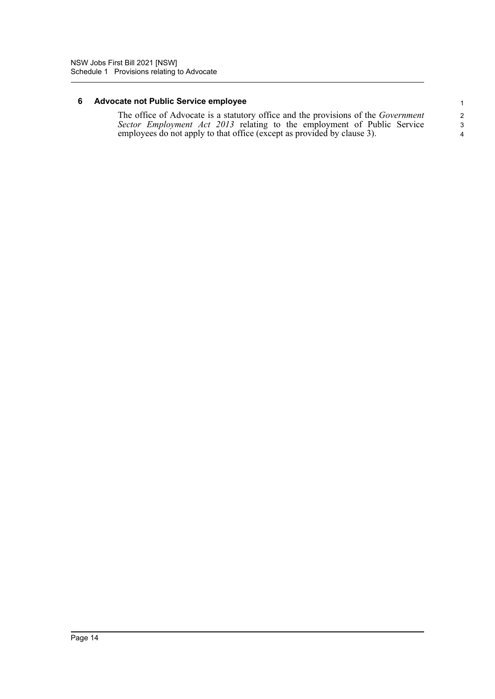### **6 Advocate not Public Service employee**

The office of Advocate is a statutory office and the provisions of the *Government Sector Employment Act 2013* relating to the employment of Public Service employees do not apply to that office (except as provided by clause 3).

4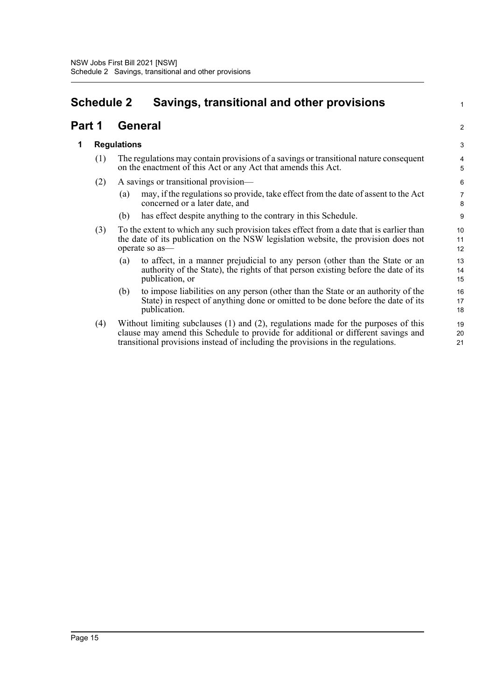## <span id="page-19-0"></span>**Schedule 2 Savings, transitional and other provisions**

### **Part 1 General**

### **1 Regulations**

- (1) The regulations may contain provisions of a savings or transitional nature consequent on the enactment of this Act or any Act that amends this Act.
- (2) A savings or transitional provision—
	- (a) may, if the regulations so provide, take effect from the date of assent to the Act concerned or a later date, and

1

2

- (b) has effect despite anything to the contrary in this Schedule.
- (3) To the extent to which any such provision takes effect from a date that is earlier than the date of its publication on the NSW legislation website, the provision does not operate so as—
	- (a) to affect, in a manner prejudicial to any person (other than the State or an authority of the State), the rights of that person existing before the date of its publication, or
	- (b) to impose liabilities on any person (other than the State or an authority of the State) in respect of anything done or omitted to be done before the date of its publication.
- (4) Without limiting subclauses (1) and (2), regulations made for the purposes of this clause may amend this Schedule to provide for additional or different savings and transitional provisions instead of including the provisions in the regulations.